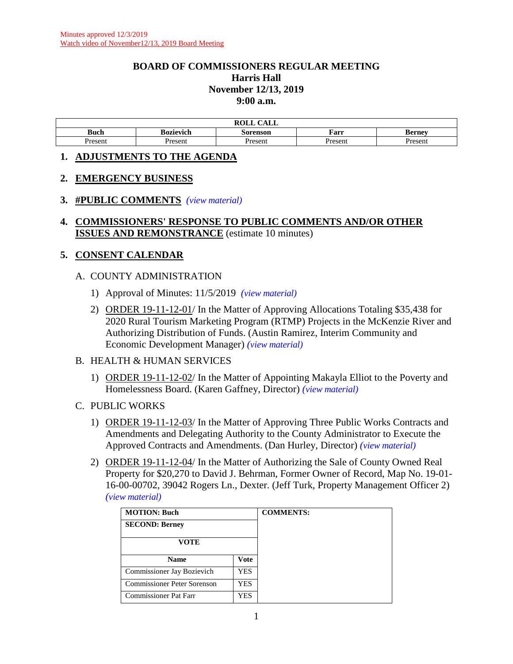# **BOARD OF COMMISSIONERS REGULAR MEETING Harris Hall November 12/13, 2019 9:00 a.m.**

| $\bigcap$ $\bigcap$ $\bigcap$<br>DAT T<br>AUL |           |          |         |               |  |
|-----------------------------------------------|-----------|----------|---------|---------------|--|
| <b>Buch</b>                                   | Bozievich | Sorenson | Farr    | <b>Berney</b> |  |
| Present                                       | Present   | Present  | Present | resent        |  |

## **1. ADJUSTMENTS TO THE AGENDA**

# **2. EMERGENCY BUSINESS**

# **3. #PUBLIC COMMENTS** *(view [material\)](http://www.lanecountyor.gov/UserFiles/Servers/Server_3585797/File/Government/BCC/2019/2019_AGENDAS/111219agenda/T.3.A.pdf)*

# **4. COMMISSIONERS' RESPONSE TO PUBLIC COMMENTS AND/OR OTHER ISSUES AND REMONSTRANCE** (estimate 10 minutes)

# **5. CONSENT CALENDAR**

# A. COUNTY ADMINISTRATION

- 1) Approval of Minutes: 11/5/2019 *(view [material\)](http://www.lanecountyor.gov/UserFiles/Servers/Server_3585797/File/Government/BCC/2019/2019_AGENDAS/111219agenda/T.5.A.1.pdf)*
- 2) ORDER 19-11-12-01/ In the Matter of Approving Allocations Totaling \$35,438 for 2020 Rural Tourism Marketing Program (RTMP) Projects in the McKenzie River and Authorizing Distribution of Funds. (Austin Ramirez, Interim Community and Economic Development Manager) *(view [material\)](http://www.lanecountyor.gov/UserFiles/Servers/Server_3585797/File/Government/BCC/2019/2019_AGENDAS/111219agenda/T.5.A.2.pdf)*

## B. HEALTH & HUMAN SERVICES

- 1) ORDER 19-11-12-02/ In the Matter of Appointing Makayla Elliot to the Poverty and Homelessness Board. (Karen Gaffney, Director) *(view [material\)](http://www.lanecountyor.gov/UserFiles/Servers/Server_3585797/File/Government/BCC/2019/2019_AGENDAS/111219agenda/T.5.B.1.pdf)*
- C. PUBLIC WORKS
	- 1) ORDER 19-11-12-03/ In the Matter of Approving Three Public Works Contracts and Amendments and Delegating Authority to the County Administrator to Execute the Approved Contracts and Amendments. (Dan Hurley, Director) *(view [material\)](http://www.lanecountyor.gov/UserFiles/Servers/Server_3585797/File/Government/BCC/2019/2019_AGENDAS/111219agenda/T.5.C.1.pdf)*
	- 2) ORDER 19-11-12-04/ In the Matter of Authorizing the Sale of County Owned Real Property for \$20,270 to David J. Behrman, Former Owner of Record, Map No. 19-01- 16-00-00702, 39042 Rogers Ln., Dexter. (Jeff Turk, Property Management Officer 2) *(view [material\)](http://www.lanecountyor.gov/UserFiles/Servers/Server_3585797/File/Government/BCC/2019/2019_AGENDAS/111219agenda/T.5.C.2.pdf)*

| <b>MOTION: Buch</b>          |             |
|------------------------------|-------------|
| <b>SECOND: Berney</b>        |             |
| VOTE                         |             |
| <b>Name</b>                  | <b>Vote</b> |
| Commissioner Jay Bozievich   | YES         |
| Commissioner Peter Sorenson  | YES.        |
| <b>Commissioner Pat Farr</b> | YES         |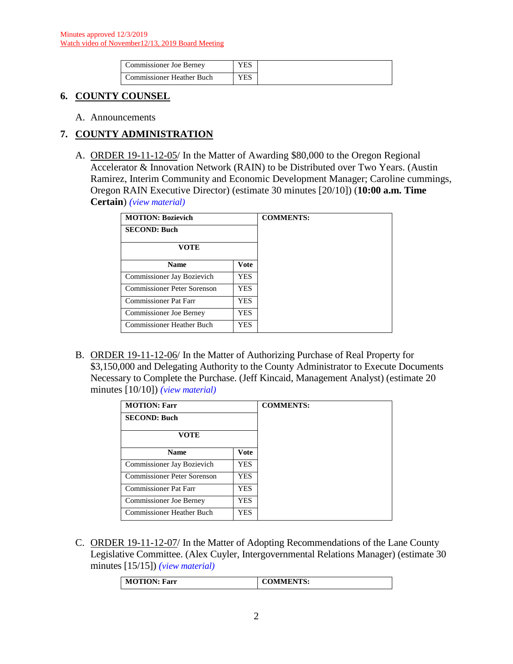| Commissioner Joe Bernev   | ⁄ES |
|---------------------------|-----|
| Commissioner Heather Buch | YES |

# **6. COUNTY COUNSEL**

A. Announcements

# **7. COUNTY ADMINISTRATION**

A. ORDER 19-11-12-05/ In the Matter of Awarding \$80,000 to the Oregon Regional Accelerator & Innovation Network (RAIN) to be Distributed over Two Years. (Austin Ramirez, Interim Community and Economic Development Manager; Caroline cummings, Oregon RAIN Executive Director) (estimate 30 minutes [20/10]) (**10:00 a.m. Time Certain**) *(view [material\)](http://www.lanecountyor.gov/UserFiles/Servers/Server_3585797/File/Government/BCC/2019/2019_AGENDAS/111219agenda/T.7.A.pdf)*

| <b>MOTION: Bozievich</b>       | <b>COMMENTS:</b> |  |
|--------------------------------|------------------|--|
| <b>SECOND: Buch</b>            |                  |  |
| <b>VOTE</b>                    |                  |  |
| <b>Name</b>                    | Vote             |  |
| Commissioner Jay Bozievich     | <b>YES</b>       |  |
| Commissioner Peter Sorenson    | <b>YES</b>       |  |
| Commissioner Pat Farr          | <b>YES</b>       |  |
| <b>Commissioner Joe Berney</b> | <b>YES</b>       |  |
| Commissioner Heather Buch      | YES              |  |

B. ORDER 19-11-12-06/ In the Matter of Authorizing Purchase of Real Property for \$3,150,000 and Delegating Authority to the County Administrator to Execute Documents Necessary to Complete the Purchase. (Jeff Kincaid, Management Analyst) (estimate 20 minutes [10/10]) *(view [material\)](http://www.lanecountyor.gov/UserFiles/Servers/Server_3585797/File/Government/BCC/2019/2019_AGENDAS/111219agenda/T.7.B.pdf)*

| <b>MOTION: Farr</b>              |             |
|----------------------------------|-------------|
| <b>SECOND: Buch</b>              |             |
| <b>VOTE</b>                      |             |
| <b>Name</b>                      | <b>Vote</b> |
| Commissioner Jay Bozievich       | <b>YES</b>  |
| Commissioner Peter Sorenson      | <b>YES</b>  |
| <b>Commissioner Pat Farr</b>     | <b>YES</b>  |
| <b>Commissioner Joe Berney</b>   | <b>YES</b>  |
| <b>Commissioner Heather Buch</b> | <b>YES</b>  |

C. ORDER 19-11-12-07/ In the Matter of Adopting Recommendations of the Lane County Legislative Committee. (Alex Cuyler, Intergovernmental Relations Manager) (estimate 30 minutes [15/15]) *(view [material\)](http://www.lanecountyor.gov/UserFiles/Servers/Server_3585797/File/Government/BCC/2019/2019_AGENDAS/111219agenda/T.7.C.pdf)*

| <b>COMMENTS:</b><br><b>MOTION: Farr</b> |  |
|-----------------------------------------|--|
|-----------------------------------------|--|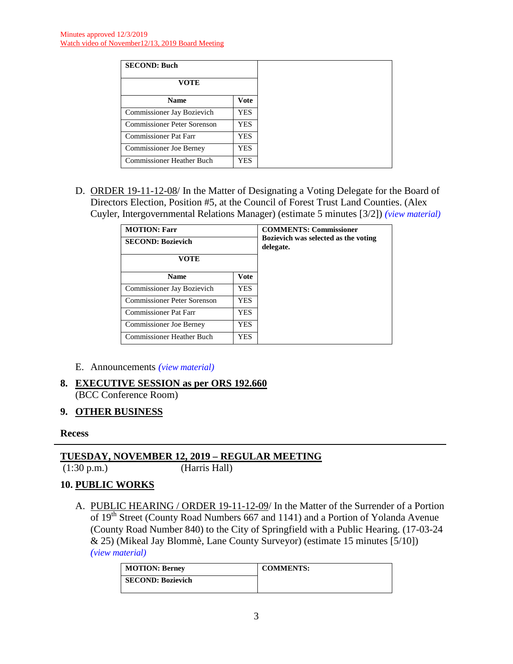| <b>SECOND: Buch</b>          |            |
|------------------------------|------------|
| <b>VOTE</b>                  |            |
| <b>Name</b>                  | Vote       |
| Commissioner Jay Bozievich   | YES.       |
| Commissioner Peter Sorenson  | <b>YES</b> |
| <b>Commissioner Pat Farr</b> | YES        |
| Commissioner Joe Berney      | YES        |
| Commissioner Heather Buch    | YES        |

D. ORDER 19-11-12-08/ In the Matter of Designating a Voting Delegate for the Board of Directors Election, Position #5, at the Council of Forest Trust Land Counties. (Alex Cuyler, Intergovernmental Relations Manager) (estimate 5 minutes [3/2]) *(view [material\)](http://www.lanecountyor.gov/UserFiles/Servers/Server_3585797/File/Government/BCC/2019/2019_AGENDAS/111219agenda/T.7.D.pdf)*

| <b>MOTION: Farr</b><br><b>SECOND: Bozievich</b> | <b>COMMENTS: Commissioner</b><br>Bozievich was selected as the voting<br>delegate. |  |
|-------------------------------------------------|------------------------------------------------------------------------------------|--|
| VOTE                                            |                                                                                    |  |
| <b>Vote</b><br><b>Name</b>                      |                                                                                    |  |
| Commissioner Jay Bozievich                      | <b>YES</b>                                                                         |  |
| <b>Commissioner Peter Sorenson</b>              | <b>YES</b>                                                                         |  |
| <b>Commissioner Pat Farr</b>                    | <b>YES</b>                                                                         |  |
| <b>Commissioner Joe Berney</b><br>YES.          |                                                                                    |  |
| <b>Commissioner Heather Buch</b>                | <b>YES</b>                                                                         |  |

- E. Announcements *(view [material\)](http://www.lanecountyor.gov/UserFiles/Servers/Server_3585797/File/Government/BCC/2019/2019_AGENDAS/111219agenda/T.7.E.pdf)*
- **8. EXECUTIVE SESSION as per ORS 192.660** (BCC Conference Room)

# **9. OTHER BUSINESS**

## **Recess**

# **TUESDAY, NOVEMBER 12, 2019 – REGULAR MEETING**

(1:30 p.m.) (Harris Hall)

# **10. PUBLIC WORKS**

A. PUBLIC HEARING / ORDER 19-11-12-09/ In the Matter of the Surrender of a Portion of 19<sup>th</sup> Street (County Road Numbers 667 and 1141) and a Portion of Yolanda Avenue (County Road Number 840) to the City of Springfield with a Public Hearing. (17-03-24 & 25) (Mikeal Jay Blommè, Lane County Surveyor) (estimate 15 minutes [5/10]) *(view [material\)](http://www.lanecountyor.gov/UserFiles/Servers/Server_3585797/File/Government/BCC/2019/2019_AGENDAS/111219agenda/T.10.A.pdf)*

| <b>MOTION: Berney</b>    | <b>COMMENTS:</b> |
|--------------------------|------------------|
| <b>SECOND: Bozievich</b> |                  |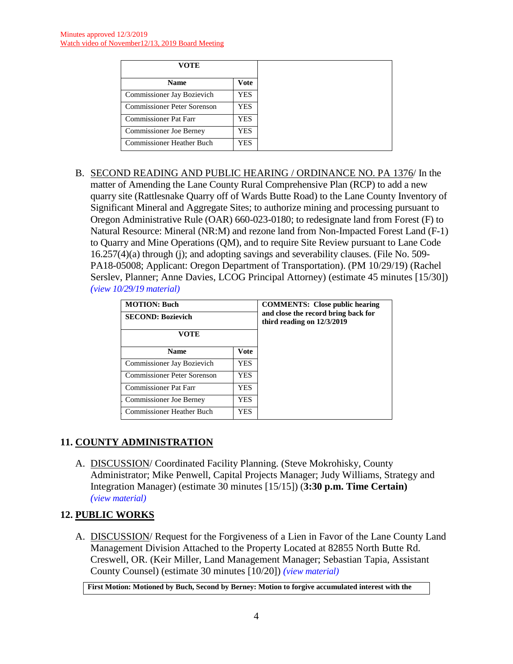| VOTE                             |      |
|----------------------------------|------|
| <b>Name</b>                      | Vote |
| Commissioner Jay Bozievich       | YES  |
| Commissioner Peter Sorenson      | YES  |
| <b>Commissioner Pat Farr</b>     | YES  |
| Commissioner Joe Berney          | YES  |
| <b>Commissioner Heather Buch</b> | YES  |

B. SECOND READING AND PUBLIC HEARING / ORDINANCE NO. PA 1376/ In the matter of Amending the Lane County Rural Comprehensive Plan (RCP) to add a new quarry site (Rattlesnake Quarry off of Wards Butte Road) to the Lane County Inventory of Significant Mineral and Aggregate Sites; to authorize mining and processing pursuant to Oregon Administrative Rule (OAR) 660-023-0180; to redesignate land from Forest (F) to Natural Resource: Mineral (NR:M) and rezone land from Non-Impacted Forest Land (F-1) to Quarry and Mine Operations (QM), and to require Site Review pursuant to Lane Code 16.257(4)(a) through (j); and adopting savings and severability clauses. (File No. 509- PA18-05008; Applicant: Oregon Department of Transportation). (PM 10/29/19) (Rachel Serslev, Planner; Anne Davies, LCOG Principal Attorney) (estimate 45 minutes [15/30]) *(view [10/29/19 material\)](http://www.lanecounty.org/UserFiles/Servers/Server_3585797/File/Government/BCC/2019/2019_AGENDAS/102919agenda/T.12.B.pdf)*

| <b>MOTION: Buch</b>                     | <b>COMMENTS:</b> Close public hearing                               |  |
|-----------------------------------------|---------------------------------------------------------------------|--|
| <b>SECOND: Bozievich</b>                | and close the record bring back for<br>third reading on $12/3/2019$ |  |
| <b>VOTE</b>                             |                                                                     |  |
| <b>Name</b>                             | <b>Vote</b>                                                         |  |
| Commissioner Jay Bozievich              | YES                                                                 |  |
| Commissioner Peter Sorenson             | YES.                                                                |  |
| <b>Commissioner Pat Farr</b>            | YES.                                                                |  |
| <b>Commissioner Joe Berney</b><br>YES.  |                                                                     |  |
| <b>Commissioner Heather Buch</b><br>YES |                                                                     |  |

# **11. COUNTY ADMINISTRATION**

A. DISCUSSION/ Coordinated Facility Planning. (Steve Mokrohisky, County Administrator; Mike Penwell, Capital Projects Manager; Judy Williams, Strategy and Integration Manager) (estimate 30 minutes [15/15]) (**3:30 p.m. Time Certain)**  *(view [material\)](http://www.lanecountyor.gov/UserFiles/Servers/Server_3585797/File/Government/BCC/2019/2019_AGENDAS/111219agenda/T.11.A.pdf)*

# **12. PUBLIC WORKS**

A. DISCUSSION/ Request for the Forgiveness of a Lien in Favor of the Lane County Land Management Division Attached to the Property Located at 82855 North Butte Rd. Creswell, OR. (Keir Miller, Land Management Manager; Sebastian Tapia, Assistant County Counsel) (estimate 30 minutes [10/20]) *(view [material\)](http://www.lanecountyor.gov/UserFiles/Servers/Server_3585797/File/Government/BCC/2019/2019_AGENDAS/111219agenda/T.12.A.pdf)*

**First Motion: Motioned by Buch, Second by Berney: Motion to forgive accumulated interest with the**